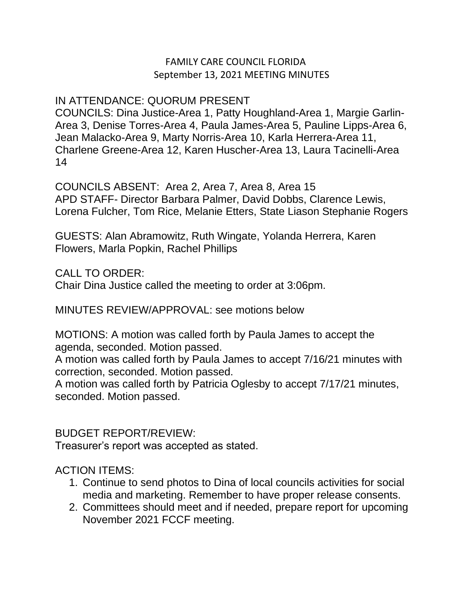### FAMILY CARE COUNCIL FLORIDA September 13, 2021 MEETING MINUTES

#### IN ATTENDANCE: QUORUM PRESENT

COUNCILS: Dina Justice-Area 1, Patty Houghland-Area 1, Margie Garlin-Area 3, Denise Torres-Area 4, Paula James-Area 5, Pauline Lipps-Area 6, Jean Malacko-Area 9, Marty Norris-Area 10, Karla Herrera-Area 11, Charlene Greene-Area 12, Karen Huscher-Area 13, Laura Tacinelli-Area 14

COUNCILS ABSENT: Area 2, Area 7, Area 8, Area 15 APD STAFF- Director Barbara Palmer, David Dobbs, Clarence Lewis, Lorena Fulcher, Tom Rice, Melanie Etters, State Liason Stephanie Rogers

GUESTS: Alan Abramowitz, Ruth Wingate, Yolanda Herrera, Karen Flowers, Marla Popkin, Rachel Phillips

CALL TO ORDER:

Chair Dina Justice called the meeting to order at 3:06pm.

MINUTES REVIEW/APPROVAL: see motions below

MOTIONS: A motion was called forth by Paula James to accept the agenda, seconded. Motion passed.

A motion was called forth by Paula James to accept 7/16/21 minutes with correction, seconded. Motion passed.

A motion was called forth by Patricia Oglesby to accept 7/17/21 minutes, seconded. Motion passed.

#### BUDGET REPORT/REVIEW:

Treasurer's report was accepted as stated.

#### ACTION ITEMS:

- 1. Continue to send photos to Dina of local councils activities for social media and marketing. Remember to have proper release consents.
- 2. Committees should meet and if needed, prepare report for upcoming November 2021 FCCF meeting.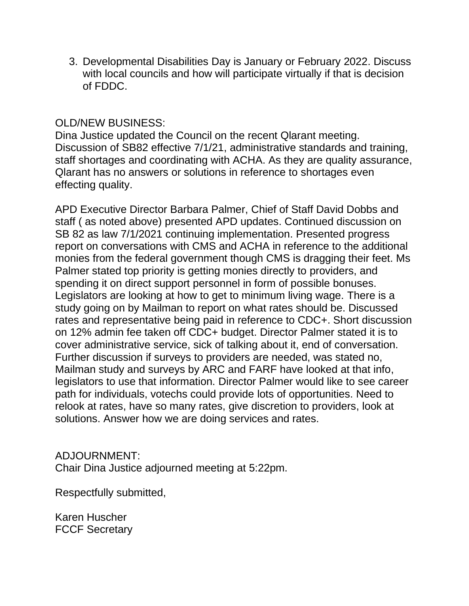3. Developmental Disabilities Day is January or February 2022. Discuss with local councils and how will participate virtually if that is decision of FDDC.

### OLD/NEW BUSINESS:

Dina Justice updated the Council on the recent Qlarant meeting. Discussion of SB82 effective 7/1/21, administrative standards and training, staff shortages and coordinating with ACHA. As they are quality assurance, Qlarant has no answers or solutions in reference to shortages even effecting quality.

APD Executive Director Barbara Palmer, Chief of Staff David Dobbs and staff ( as noted above) presented APD updates. Continued discussion on SB 82 as law 7/1/2021 continuing implementation. Presented progress report on conversations with CMS and ACHA in reference to the additional monies from the federal government though CMS is dragging their feet. Ms Palmer stated top priority is getting monies directly to providers, and spending it on direct support personnel in form of possible bonuses. Legislators are looking at how to get to minimum living wage. There is a study going on by Mailman to report on what rates should be. Discussed rates and representative being paid in reference to CDC+. Short discussion on 12% admin fee taken off CDC+ budget. Director Palmer stated it is to cover administrative service, sick of talking about it, end of conversation. Further discussion if surveys to providers are needed, was stated no, Mailman study and surveys by ARC and FARF have looked at that info, legislators to use that information. Director Palmer would like to see career path for individuals, votechs could provide lots of opportunities. Need to relook at rates, have so many rates, give discretion to providers, look at solutions. Answer how we are doing services and rates.

### ADJOURNMENT:

Chair Dina Justice adjourned meeting at 5:22pm.

Respectfully submitted,

Karen Huscher FCCF Secretary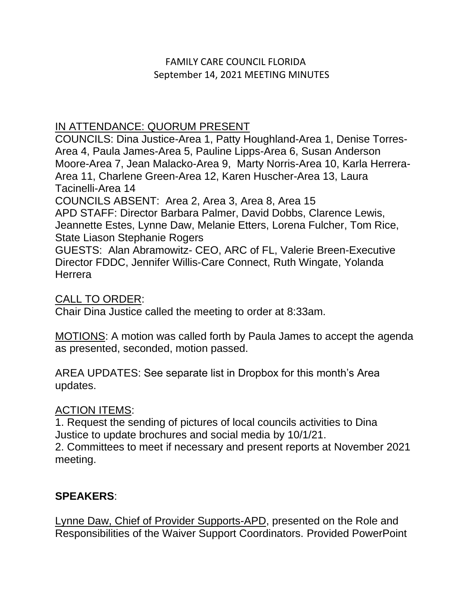## FAMILY CARE COUNCIL FLORIDA September 14, 2021 MEETING MINUTES

## IN ATTENDANCE: QUORUM PRESENT

COUNCILS: Dina Justice-Area 1, Patty Houghland-Area 1, Denise Torres-Area 4, Paula James-Area 5, Pauline Lipps-Area 6, Susan Anderson Moore-Area 7, Jean Malacko-Area 9, Marty Norris-Area 10, Karla Herrera-Area 11, Charlene Green-Area 12, Karen Huscher-Area 13, Laura Tacinelli-Area 14

COUNCILS ABSENT: Area 2, Area 3, Area 8, Area 15

APD STAFF: Director Barbara Palmer, David Dobbs, Clarence Lewis, Jeannette Estes, Lynne Daw, Melanie Etters, Lorena Fulcher, Tom Rice, State Liason Stephanie Rogers

GUESTS: Alan Abramowitz- CEO, ARC of FL, Valerie Breen-Executive Director FDDC, Jennifer Willis-Care Connect, Ruth Wingate, Yolanda **Herrera** 

CALL TO ORDER:

Chair Dina Justice called the meeting to order at 8:33am.

MOTIONS: A motion was called forth by Paula James to accept the agenda as presented, seconded, motion passed.

AREA UPDATES: See separate list in Dropbox for this month's Area updates.

### ACTION ITEMS:

1. Request the sending of pictures of local councils activities to Dina Justice to update brochures and social media by 10/1/21.

2. Committees to meet if necessary and present reports at November 2021 meeting.

## **SPEAKERS**:

Lynne Daw, Chief of Provider Supports-APD, presented on the Role and Responsibilities of the Waiver Support Coordinators. Provided PowerPoint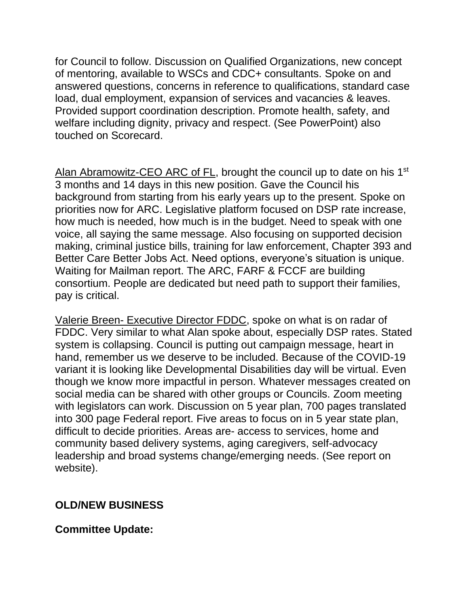for Council to follow. Discussion on Qualified Organizations, new concept of mentoring, available to WSCs and CDC+ consultants. Spoke on and answered questions, concerns in reference to qualifications, standard case load, dual employment, expansion of services and vacancies & leaves. Provided support coordination description. Promote health, safety, and welfare including dignity, privacy and respect. (See PowerPoint) also touched on Scorecard.

Alan Abramowitz-CEO ARC of FL, brought the council up to date on his 1<sup>st</sup> 3 months and 14 days in this new position. Gave the Council his background from starting from his early years up to the present. Spoke on priorities now for ARC. Legislative platform focused on DSP rate increase, how much is needed, how much is in the budget. Need to speak with one voice, all saying the same message. Also focusing on supported decision making, criminal justice bills, training for law enforcement, Chapter 393 and Better Care Better Jobs Act. Need options, everyone's situation is unique. Waiting for Mailman report. The ARC, FARF & FCCF are building consortium. People are dedicated but need path to support their families, pay is critical.

Valerie Breen- Executive Director FDDC, spoke on what is on radar of FDDC. Very similar to what Alan spoke about, especially DSP rates. Stated system is collapsing. Council is putting out campaign message, heart in hand, remember us we deserve to be included. Because of the COVID-19 variant it is looking like Developmental Disabilities day will be virtual. Even though we know more impactful in person. Whatever messages created on social media can be shared with other groups or Councils. Zoom meeting with legislators can work. Discussion on 5 year plan, 700 pages translated into 300 page Federal report. Five areas to focus on in 5 year state plan, difficult to decide priorities. Areas are- access to services, home and community based delivery systems, aging caregivers, self-advocacy leadership and broad systems change/emerging needs. (See report on website).

# **OLD/NEW BUSINESS**

### **Committee Update:**